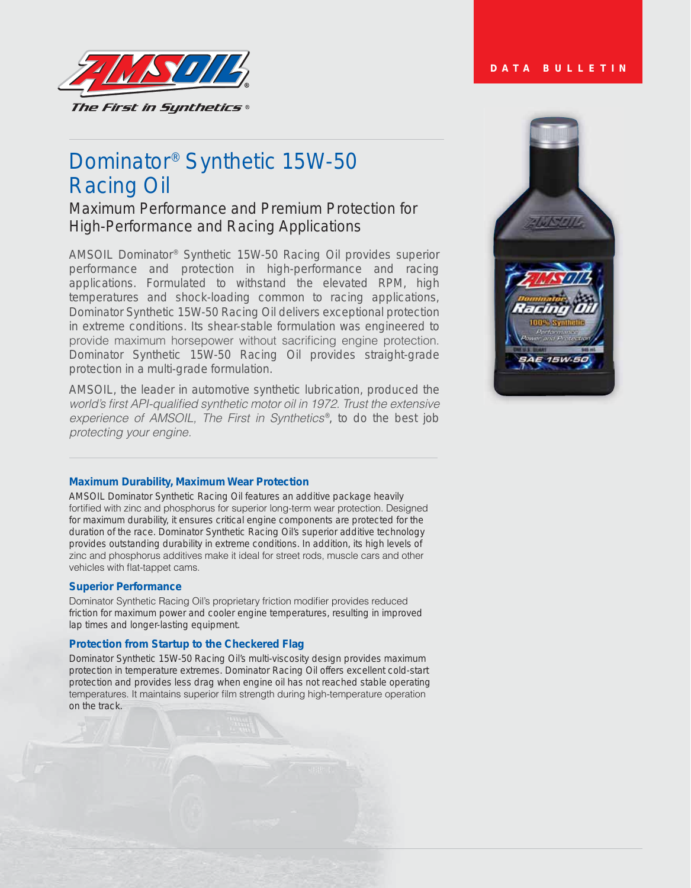

# Dominator® Synthetic 15W-50 Racing Oil

### Maximum Performance and Premium Protection for High-Performance and Racing Applications

AMSOIL Dominator® Synthetic 15W-50 Racing Oil provides superior performance and protection in high-performance and racing applications. Formulated to withstand the elevated RPM, high temperatures and shock-loading common to racing applications, Dominator Synthetic 15W-50 Racing Oil delivers exceptional protection in extreme conditions. Its shear-stable formulation was engineered to provide maximum horsepower without sacrificing engine protection. Dominator Synthetic 15W-50 Racing Oil provides straight-grade protection in a multi-grade formulation.

*AMSOIL, the leader in automotive synthetic lubrication, produced the*  world's first API-qualified synthetic motor oil in 1972. Trust the extensive experience of AMSOIL, The First in Synthetics<sup>®</sup>, to do the best job protecting your engine.

## **DATA BULLETIN**



#### **Maximum Durability, Maximum Wear Protection**

AMSOIL Dominator Synthetic Racing Oil features an additive package heavily fortified with zinc and phosphorus for superior long-term wear protection. Designed for maximum durability, it ensures critical engine components are protected for the duration of the race. Dominator Synthetic Racing Oil's superior additive technology provides outstanding durability in extreme conditions. In addition, its high levels of zinc and phosphorus additives make it ideal for street rods, muscle cars and other vehicles with flat-tappet cams.

#### **Superior Performance**

Dominator Synthetic Racing Oil's proprietary friction modifier provides reduced friction for maximum power and cooler engine temperatures, resulting in improved lap times and longer-lasting equipment.

#### **Protection from Startup to the Checkered Flag**

Dominator Synthetic 15W-50 Racing Oil's multi-viscosity design provides maximum protection in temperature extremes. Dominator Racing Oil offers excellent cold-start protection and provides less drag when engine oil has not reached stable operating temperatures. It maintains superior film strength during high-temperature operation on the track.